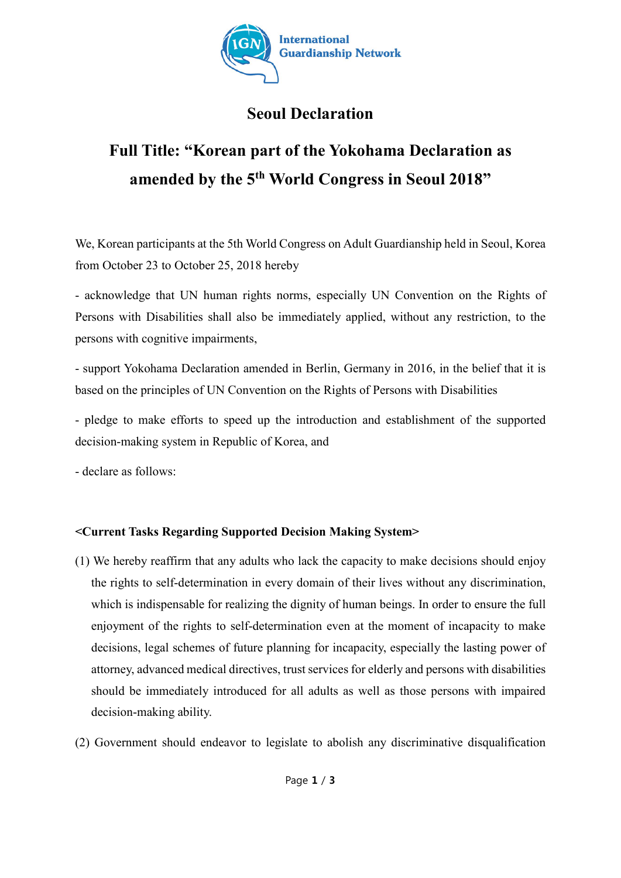

## **Seoul Declaration**

## **Full Title: "Korean part of the Yokohama Declaration as amended by the 5th World Congress in Seoul 2018"**

We, Korean participants at the 5th World Congress on Adult Guardianship held in Seoul, Korea from October 23 to October 25, 2018 hereby

- acknowledge that UN human rights norms, especially UN Convention on the Rights of Persons with Disabilities shall also be immediately applied, without any restriction, to the persons with cognitive impairments,

- support Yokohama Declaration amended in Berlin, Germany in 2016, in the belief that it is based on the principles of UN Convention on the Rights of Persons with Disabilities

- pledge to make efforts to speed up the introduction and establishment of the supported decision-making system in Republic of Korea, and

- declare as follows:

## **<Current Tasks Regarding Supported Decision Making System>**

- (1) We hereby reaffirm that any adults who lack the capacity to make decisions should enjoy the rights to self-determination in every domain of their lives without any discrimination, which is indispensable for realizing the dignity of human beings. In order to ensure the full enjoyment of the rights to self-determination even at the moment of incapacity to make decisions, legal schemes of future planning for incapacity, especially the lasting power of attorney, advanced medical directives, trust services for elderly and persons with disabilities should be immediately introduced for all adults as well as those persons with impaired decision-making ability.
- (2) Government should endeavor to legislate to abolish any discriminative disqualification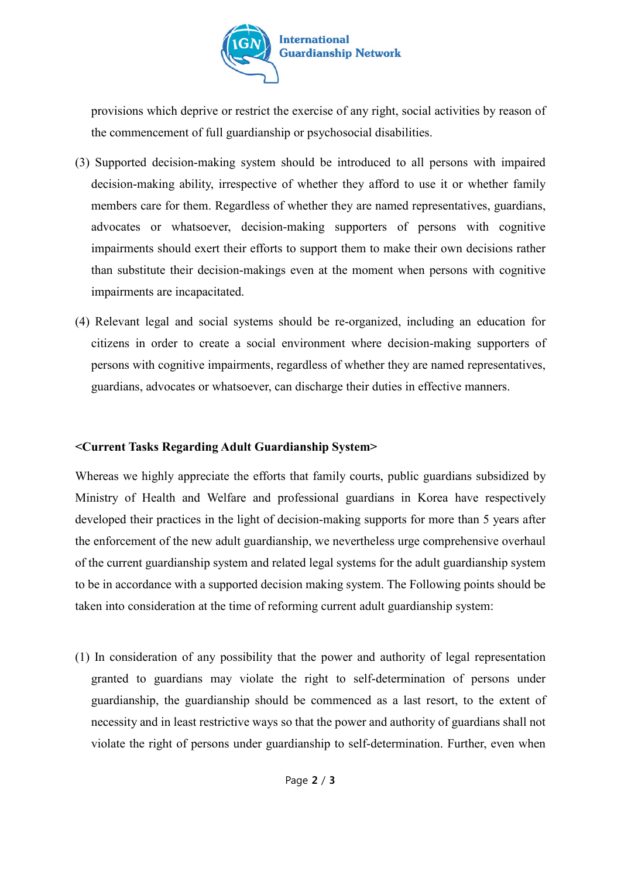

provisions which deprive or restrict the exercise of any right, social activities by reason of the commencement of full guardianship or psychosocial disabilities.

- (3) Supported decision-making system should be introduced to all persons with impaired decision-making ability, irrespective of whether they afford to use it or whether family members care for them. Regardless of whether they are named representatives, guardians, advocates or whatsoever, decision-making supporters of persons with cognitive impairments should exert their efforts to support them to make their own decisions rather than substitute their decision-makings even at the moment when persons with cognitive impairments are incapacitated.
- (4) Relevant legal and social systems should be re-organized, including an education for citizens in order to create a social environment where decision-making supporters of persons with cognitive impairments, regardless of whether they are named representatives, guardians, advocates or whatsoever, can discharge their duties in effective manners.

## **<Current Tasks Regarding Adult Guardianship System>**

Whereas we highly appreciate the efforts that family courts, public guardians subsidized by Ministry of Health and Welfare and professional guardians in Korea have respectively developed their practices in the light of decision-making supports for more than 5 years after the enforcement of the new adult guardianship, we nevertheless urge comprehensive overhaul of the current guardianship system and related legal systems for the adult guardianship system to be in accordance with a supported decision making system. The Following points should be taken into consideration at the time of reforming current adult guardianship system:

(1) In consideration of any possibility that the power and authority of legal representation granted to guardians may violate the right to self-determination of persons under guardianship, the guardianship should be commenced as a last resort, to the extent of necessity and in least restrictive ways so that the power and authority of guardians shall not violate the right of persons under guardianship to self-determination. Further, even when